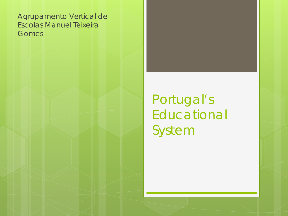Agrupamento Vertical de Escolas Manuel Teixeira **Gomes** 

> Portugal's Educational System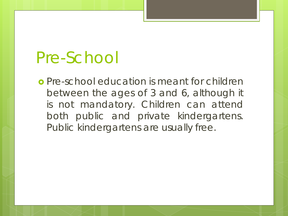#### Pre-School

 Pre-school education is meant for children between the ages of 3 and 6, although it is not mandatory. Children can attend both public and private kindergartens. Public kindergartens are usually free.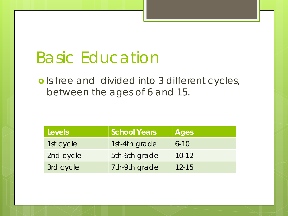### Basic Education

o Is free and divided into 3 different cycles, between the ages of 6 and 15.

| Levels    | <b>School Years</b> | <b>Ages</b> |
|-----------|---------------------|-------------|
| 1st cycle | 1st-4th grade       | $6 - 10$    |
| 2nd cycle | 5th-6th grade       | $10 - 12$   |
| 3rd cycle | 7th-9th grade       | $12 - 15$   |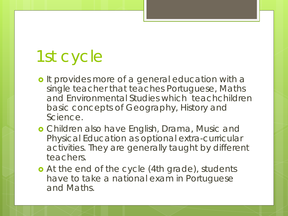## 1st cycle

- o It provides more of a general education with a single teacher that teaches Portuguese, Maths and Environmental Studies which teachchildren basic concepts of Geography, History and Science.
- Children also have English, Drama, Music and Physical Education as optional extra-curricular activities. They are generally taught by different teachers.
- **•** At the end of the cycle (4th grade), students have to take a national exam in Portuguese and Maths.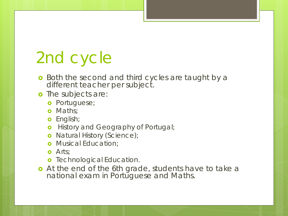# 2nd cycle

- **o** Both the second and third cycles are taught by a different teacher per subject.
- o The subjects are:
	- **o** Portuguese;
	- **o** Maths;
	- **o** English;
	- **o** History and Geography of Portugal;
	- o Natural History (Science);
	- **o** Musical Education;
	- **o** Arts:
	- **o** Technological Education.
- At the end of the 6th grade, students have to take a national exam in Portuguese and Maths.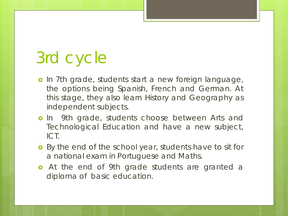## 3rd cycle

- o In 7th grade, students start a new foreign language, the options being Spanish, French and German. At this stage, they also learn History and Geography as independent subjects.
- **o** In 9th grade, students choose between Arts and Technological Education and have a new subject, ICT.
- **o** By the end of the school year, students have to sit for a national exam in Portuguese and Maths.
- **o** At the end of 9th grade students are granted a diploma of basic education.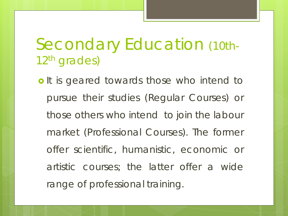#### Secondary Education (10th-12th grades)

o It is geared towards those who intend to pursue their studies (Regular Courses) or those others who intend to join the labour market (Professional Courses). The former offer scientific, humanistic, economic or artistic courses; the latter offer a wide range of professional training.